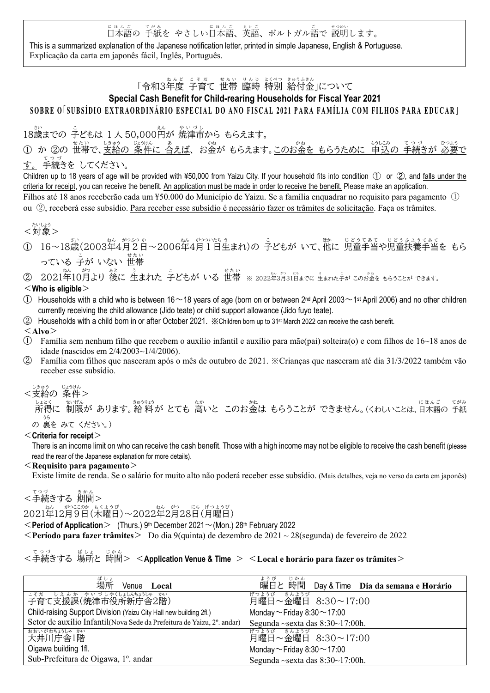日本語 に ほ ん ご の 手紙 て が み を やさしい日本語 に ほ ん ご 、英語 え い ご 、ポルトガル語 ご で 説明 せつめい します。

This is a summarized explanation of the Japanese notification letter, printed in simple Japanese, English & Portuguese. Explicação da carta em japonês fácil, Inglês, Português.

# 「令和3年度 子育て 世帯 臨時 特別 給付金」について

## Special Cash Benefit for Child-rearing Households for Fiscal Year 2021

## SOBRE O SUBSÍDIO EXTRAORDINÁRIO ESPECIAL DO ANO FISCAL 2021 PARA FAMÍLIA COM FILHOS PARA EDUCAR ]

18歳 さい までの 子ども こ は 1 人 50,000円 えん が 焼津市 や い づ し から もらえます。

① か ②の 世帯で、支給の 条件に 含えば、 お金が もらえます。このお金を もらうために 申込の 手続きが 必要で す。 <sup>てっっ</sup><br>す。 手続きを してください。

Children up to 18 years of age will be provided with ¥50,000 from Yaizu City. If your household fits into condition ① or ②, and falls under the criteria for receipt, you can receive the benefit. An application must be made in order to receive the benefit. Please make an application. Filhos até 18 anos receberão cada um ¥50.000 do Município de Yaizu. Se a família enquadrar no requisito para pagamento ① ou ②, receberá esse subsídio. Para receber esse subsídio é necessário fazer os trâmites de solicitação. Faça os trâmites.

$$
<\stackrel{\text{tivL}5}{\cancel{31}}>
$$

① 16~18歳(2003年4月2日~2006年4月1日生まれ)の うどもが いて、他に 児童手当や児童扶養手当を もら っている 子が いない 世帯

#### ② 2021年10月より 後に 生まれた うどもが いる 世帯 ※ 2022年3月31日までに 生まれた子が このお金を もらうことが できます。

### $<$  Who is eligible $>$

- $\Box$  Households with a child who is between 16 ~ 18 years of age (born on or between 2<sup>nd</sup> April 2003 ~ 1<sup>st</sup> April 2006) and no other children currently receiving the child allowance (Jido teate) or child support allowance (Jido fuyo teate).
- ② Households with a child born in or after October 2021. ※Children born up to 31st March 2022 can receive the cash benefit.

#### $\langle$ Alvo $>$

- ① Família sem nenhum filho que recebem o auxílio infantil e auxílio para mãe(pai) solteira(o) e com filhos de 16~18 anos de idade (nascidos em 2/4/2003~1/4/2006).
- ② Família com filhos que nasceram após o mês de outubro de 2021. ※Crianças que nasceram até dia 31/3/2022 também vão receber esse subsídio.

#### <支給 の 条件 > しきゅう じょうけん

 所得 し ょ と く に 制限 せいげん が あります。給 料 きゅうりょう が とても 高い たか と このお金 かね は もらうことが できません。(くわしいことは、日本語 に ほ ん ご の 手紙 てがみ の 裏 を みて ください。) うら

#### $<$  Criteria for receipt $>$

There is an income limit on who can receive the cash benefit. Those with a high income may not be eligible to receive the cash benefit (please read the rear of the Japanese explanation for more details).

#### $\leq$ Requisito para pagamento $\geq$

Existe limite de renda. Se o salário for muito alto não poderá receber esse subsídio. (Mais detalhes, veja no verso da carta em japonês)

# - <sup>てっっ</sup><br><手続きする 期間>

2021年12月9日(木曜日)〜2022年2月28日(月曜日)

 $\leq$  Period of Application  $>$  (Thurs.) 9<sup>th</sup> December 2021 $\sim$  (Mon.) 28<sup>th</sup> February 2022

 $\leq$  **Período para fazer trâmites** $>$  Do dia 9(quinta) de dezembro de 2021  $\sim$  28(segunda) de fevereiro de 2022

#### <手続きする 場所と 時間> <Application Venue & Time > <Local e horário para fazer os trâmites> て つ づ ば しょ じかん

| ばしょ<br>場所<br>Venue Local                                               | ようび<br>じかん<br>曜日と 時間 Day & Time Dia da semana e Horário |
|------------------------------------------------------------------------|---------------------------------------------------------|
| こそを、しえんか、さいづしゃくはいながら、かい、<br>子育て支援課(焼津市役所新庁舎2階)                         | げつようび<br>きんようび<br>月曜日~金曜日 8:30~17:00                    |
| Child-raising Support Division (Yaizu City Hall new building 2fl.)     | Monday ~ Friday 8:30 ~ 17:00                            |
| Setor de auxílio Infantil(Nova Sede da Prefeitura de Yaizu, 2°. andar) | Segunda $\sim$ sexta das 8:30 $\sim$ 17:00h.            |
| おおいがわちょうしゃ かい<br>大井川庁舎1階                                               | げつようび きんようび<br>月曜日~金曜日 8:30~17:00                       |
| Oigawa building 1fl.                                                   | Monday $\sim$ Friday 8:30 $\sim$ 17:00                  |
| Sub-Prefeitura de Oigawa, 1°. andar                                    | Segunda $\sim$ sexta das 8:30 $\sim$ 17:00h.            |